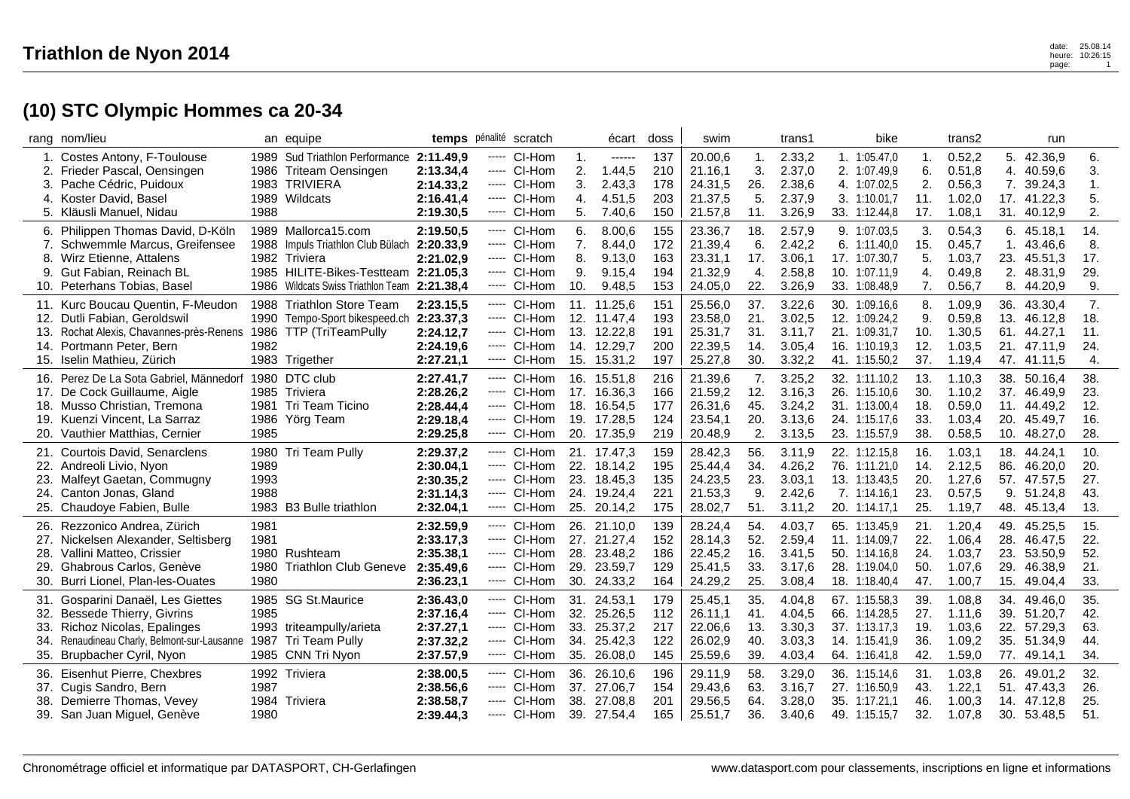## **(10) STC Olympic Hommes ca 20-34**

|                                 | rang nom/lieu                                                                                                                                                               |                      | an equipe                                                                                                                                                         | temps pénalité                                                | scratch                                                                         |                             | écart                                                                   | doss                            | swim                                                |                                 | trans1                                         | bike                                                                              |                                 | trans2                                         |                                 | run                                                         |                                 |
|---------------------------------|-----------------------------------------------------------------------------------------------------------------------------------------------------------------------------|----------------------|-------------------------------------------------------------------------------------------------------------------------------------------------------------------|---------------------------------------------------------------|---------------------------------------------------------------------------------|-----------------------------|-------------------------------------------------------------------------|---------------------------------|-----------------------------------------------------|---------------------------------|------------------------------------------------|-----------------------------------------------------------------------------------|---------------------------------|------------------------------------------------|---------------------------------|-------------------------------------------------------------|---------------------------------|
| 2.<br>3.<br>4.                  | Costes Antony, F-Toulouse<br>Frieder Pascal, Oensingen<br>Pache Cédric, Puidoux<br>Koster David, Basel<br>5. Kläusli Manuel, Nidau                                          | 1988                 | 1989 Sud Triathlon Performance 2:11.49,9<br>1986 Triteam Oensingen<br>1983 TRIVIERA<br>1989 Wildcats                                                              | 2:13.34,4<br>2:14.33,2<br>2:16.41,4<br>2:19.30,5              | ----- CI-Hom<br>----- CI-Hom<br>---- CI-Hom<br>$---$ CI-Hom<br>----- CI-Hom     | 1.<br>2.<br>3.<br>4.<br>5.  | $-----1$<br>1.44,5<br>2.43,3<br>4.51,5<br>7.40,6                        | 137<br>210<br>178<br>203<br>150 | 20.00,6<br>21.16,1<br>24.31,5<br>21.37,5<br>21.57,8 | 1.<br>3.<br>26.<br>5.<br>11.    | 2.33,2<br>2.37,0<br>2.38,6<br>2.37,9<br>3.26,9 | 1. 1:05.47,0<br>2. 1:07.49,9<br>4. 1:07.02,5<br>3. 1:10.01,7<br>33. 1:12.44,8     | 1.<br>6.<br>2.<br>11.<br>17.    | 0.52,2<br>0.51,8<br>0.56,3<br>1.02,0<br>1.08,1 | 5.<br>4.<br>17.<br>31.          | 42.36,9<br>40.59,6<br>7. 39.24,3<br>41.22,3<br>40.12,9      | 6.<br>3.<br>1.<br>5.<br>2.      |
| 7.<br>8.<br>9.                  | 6. Philippen Thomas David, D-Köln<br>Schwemmle Marcus, Greifensee<br>Wirz Etienne, Attalens<br>Gut Fabian, Reinach BL<br>10. Peterhans Tobias, Basel                        |                      | 1989 Mallorca15.com<br>1988 Impuls Triathlon Club Bülach<br>1982 Triviera<br>1985 HILITE-Bikes-Testteam 2:21.05.3<br>1986 Wildcats Swiss Triathlon Team 2:21.38,4 | 2:19.50.5<br>2:20.33,9<br>2:21.02,9                           | ----- CI-Hom<br>----- CI-Hom<br>---- CI-Hom<br>----- CI-Hom<br>----- CI-Hom     | 6.<br>7.<br>8.<br>9.<br>10. | 8.00,6<br>8.44,0<br>9.13,0<br>9.15,4<br>9.48,5                          | 155<br>172<br>163<br>194<br>153 | 23.36,7<br>21.39,4<br>23.31,1<br>21.32,9<br>24.05,0 | 18.<br>6.<br>17.<br>4.<br>22.   | 2.57,9<br>2.42,2<br>3.06,1<br>2.58,8<br>3.26,9 | 9. 1:07.03.5<br>6. 1:11.40,0<br>17. 1:07.30,7<br>10. 1:07.11,9<br>33. 1:08.48,9   | 3.<br>15.<br>5.<br>4.<br>7.     | 0.54,3<br>0.45,7<br>1.03,7<br>0.49,8<br>0.56,7 | 1.<br>23.<br>2.<br>8.           | 6.45.18,1<br>43.46,6<br>45.51,3<br>48.31,9<br>44.20,9       | 14.<br>8.<br>17.<br>29.<br>9.   |
| 11.<br>13.<br>14.               | Kurc Boucau Quentin, F-Meudon<br>12. Dutli Fabian, Geroldswil<br>Rochat Alexis, Chavannes-près-Renens<br>Portmann Peter, Bern<br>15. Iselin Mathieu, Zürich                 | 1982                 | 1988 Triathlon Store Team<br>1990 Tempo-Sport bikespeed.ch<br>1986 TTP (TriTeamPully<br>1983 Trigether                                                            | 2:23.15,5<br>2:23.37,3<br>2:24.12,7<br>2:24.19,6<br>2:27.21,1 | ----- CI-Hom<br>$---$ CI-Hom<br>$---$ CI-Hom<br>$---$ CI-Hom<br>----- CI-Hom    | 15.                         | 11. 11.25,6<br>12. 11.47,4<br>13. 12.22,8<br>14. 12.29,7<br>15.31,2     | 151<br>193<br>191<br>200<br>197 | 25.56,0<br>23.58,0<br>25.31,7<br>22.39,5<br>25.27,8 | 37.<br>21.<br>31.<br>14.<br>30. | 3.22,6<br>3.02,5<br>3.11,7<br>3.05,4<br>3.32,2 | 30. 1:09.16,6<br>12. 1:09.24,2<br>21. 1:09.31,7<br>16. 1:10.19.3<br>41. 1:15.50,2 | 8.<br>9.<br>10.<br>12.<br>37.   | 1.09,9<br>0.59,8<br>1.30,5<br>1.03,5<br>1.19,4 | 36.<br>61.<br>21.               | 43.30,4<br>13. 46.12,8<br>44.27,1<br>47.11,9<br>47. 41.11,5 | 7.<br>18.<br>11.<br>24.<br>4.   |
| 17.<br>19.<br>20.               | 16. Perez De La Sota Gabriel, Männedorf<br>De Cock Guillaume, Aigle<br>18. Musso Christian, Tremona<br>Kuenzi Vincent, La Sarraz<br>Vauthier Matthias, Cernier              | 1985                 | 1980 DTC club<br>1985 Triviera<br>1981 Tri Team Ticino<br>1986 Yörg Team                                                                                          | 2:27.41,7<br>2:28.26,2<br>2:28.44,4<br>2:29.18,4<br>2:29.25,8 | ----- CI-Hom<br>----- CI-Hom<br>----- CI-Hom<br>----- CI-Hom<br>----- CI-Hom    |                             | 16. 15.51,8<br>17. 16.36.3<br>18. 16.54,5<br>19. 17.28,5<br>20. 17.35,9 | 216<br>166<br>177<br>124<br>219 | 21.39,6<br>21.59,2<br>26.31,6<br>23.54,1<br>20.48,9 | 7.<br>12.<br>45.<br>20.<br>2.   | 3.25,2<br>3.16,3<br>3.24,2<br>3.13,6<br>3.13,5 | 32. 1:11.10.2<br>26. 1:15.10.6<br>31. 1:13.00,4<br>24. 1:15.17,6<br>23. 1:15.57,9 | 13.<br>30.<br>18.<br>33.<br>38. | 1.10,3<br>1.10,2<br>0.59,0<br>1.03,4<br>0.58,5 | 37.<br>11.<br>20.<br>10.        | 38. 50.16,4<br>46.49,9<br>44.49,2<br>45.49,7<br>48.27,0     | 38.<br>23.<br>12.<br>16.<br>28. |
| 23.<br>25.                      | 21. Courtois David, Senarclens<br>22. Andreoli Livio, Nyon<br>Malfeyt Gaetan, Commugny<br>24. Canton Jonas, Gland<br>Chaudoye Fabien, Bulle                                 | 1989<br>1993<br>1988 | 1980 Tri Team Pully<br>1983 B3 Bulle triathlon                                                                                                                    | 2:29.37,2<br>2:30.04,1<br>2:30.35,2<br>2:31.14.3<br>2:32.04,1 | ----- CI-Hom<br>----- CI-Hom<br>----- CI-Hom<br>$---$ CI-Hom<br>---- CI-Hom     |                             | 21. 17.47,3<br>22. 18.14,2<br>23. 18.45,3<br>24. 19.24,4<br>25. 20.14,2 | 159<br>195<br>135<br>221<br>175 | 28.42,3<br>25.44,4<br>24.23,5<br>21.53,3<br>28.02,7 | 56.<br>34.<br>23.<br>9.<br>51.  | 3.11,9<br>4.26,2<br>3.03,1<br>2.42,6<br>3.11,2 | 22. 1:12.15,8<br>76. 1:11.21,0<br>13. 1:13.43.5<br>7.1:14.16.1<br>20. 1:14.17,1   | 16.<br>14.<br>20.<br>23.<br>25. | 1.03,1<br>2.12,5<br>1.27,6<br>0.57,5<br>1.19,7 | 18.<br>86.<br>57.<br>9.<br>48.  | 44.24,1<br>46.20,0<br>47.57,5<br>51.24,8<br>45.13,4         | 10.<br>20.<br>27.<br>43.<br>13. |
| 26.<br>27.<br>28.<br>29.<br>30. | Rezzonico Andrea, Zürich<br>Nickelsen Alexander, Seltisberg<br>Vallini Matteo, Crissier<br>Ghabrous Carlos, Genève<br>Burri Lionel, Plan-les-Ouates                         | 1981<br>1981<br>1980 | 1980 Rushteam<br>1980 Triathlon Club Geneve                                                                                                                       | 2:32.59,9<br>2:33.17,3<br>2:35.38,1<br>2:35.49,6<br>2:36.23,1 | ----- CI-Hom<br>$---$ CI-Hom<br>----- CI-Hom<br>----- CI-Hom<br>---- CI-Hom     | 26.<br>29.<br>30.           | 21.10.0<br>27. 21.27,4<br>28. 23.48,2<br>23.59,7<br>24.33,2             | 139<br>152<br>186<br>129<br>164 | 28.24,4<br>28.14,3<br>22.45,2<br>25.41,5<br>24.29,2 | 54.<br>52.<br>16.<br>33.<br>25. | 4.03,7<br>2.59,4<br>3.41,5<br>3.17,6<br>3.08,4 | 65. 1:13.45.9<br>11. 1:14.09.7<br>50. 1:14.16,8<br>28. 1:19.04,0<br>18. 1:18.40,4 | 21.<br>22.<br>24.<br>50.<br>47. | 1.20,4<br>1.06,4<br>1.03,7<br>1.07,6<br>1.00,7 | 49.<br>28.<br>23.<br>29.<br>15. | 45.25,5<br>46.47,5<br>53.50,9<br>46.38,9<br>49.04,4         | 15.<br>22.<br>52.<br>21.<br>33. |
| 32.<br>34.<br>35.               | 31. Gosparini Danaël, Les Giettes<br><b>Bessede Thierry, Givrins</b><br>33. Richoz Nicolas, Epalinges<br>Renaudineau Charly, Belmont-sur-Lausanne<br>Brupbacher Cyril, Nyon | 1985                 | 1985 SG St.Maurice<br>1993 triteampully/arieta<br>1987 Tri Team Pully<br>1985 CNN Tri Nyon                                                                        | 2:36.43,0<br>2:37.16,4<br>2:37.27.1<br>2:37.32,2<br>2:37.57,9 | ----- CI-Hom<br>----- CI-Hom<br>$---$ CI-Hom<br>----- CI-Hom<br>CI-Hom<br>----- | 32.<br>35.                  | 31. 24.53,1<br>25.26,5<br>33. 25.37,2<br>34. 25.42,3<br>26.08,0         | 179<br>112<br>217<br>122<br>145 | 25.45,1<br>26.11,1<br>22.06.6<br>26.02,9<br>25.59,6 | 35.<br>41.<br>13.<br>40.<br>39. | 4.04,8<br>4.04,5<br>3.30,3<br>3.03,3<br>4.03,4 | 67. 1:15.58,3<br>66. 1:14.28,5<br>37. 1:13.17.3<br>14. 1:15.41,9<br>64. 1:16.41,8 | 39.<br>27.<br>19.<br>36.<br>42. | 1.08,8<br>1.11,6<br>1.03,6<br>1.09,2<br>1.59,0 | 34.<br>39.<br>35.<br>77.        | 49.46,0<br>51.20,7<br>22. 57.29,3<br>51.34,9<br>49.14,1     | 35.<br>42.<br>63.<br>44.<br>34. |
| 38.                             | 36. Eisenhut Pierre, Chexbres<br>37. Cugis Sandro, Bern<br>Demierre Thomas, Vevey<br>39. San Juan Miguel, Genève                                                            | 1987<br>1980         | 1992 Triviera<br>1984 Triviera                                                                                                                                    | 2:38.00,5<br>2:38.56,6<br>2:38.58,7<br>2:39.44,3              | ----- CI-Hom<br>---- CI-Hom<br>----- CI-Hom<br>---- CI-Hom                      | 37.<br>38.                  | 36. 26.10.6<br>27.06,7<br>27.08,8<br>39. 27.54,4                        | 196<br>154<br>201<br>165        | 29.11,9<br>29.43,6<br>29.56,5<br>25.51,7            | 58.<br>63.<br>64.<br>36.        | 3.29,0<br>3.16,7<br>3.28,0<br>3.40,6           | 36. 1:15.14,6<br>27. 1:16.50,9<br>35. 1:17.21,1<br>49. 1:15.15,7                  | 31.<br>43.<br>46.<br>32.        | 1.03,8<br>1.22,1<br>1.00,3<br>1.07,8           | 26.<br>51.<br>14.               | 49.01,2<br>47.43,3<br>47.12,8<br>30. 53.48,5                | 32.<br>26.<br>25.<br>51.        |

 $\mathbf{r}$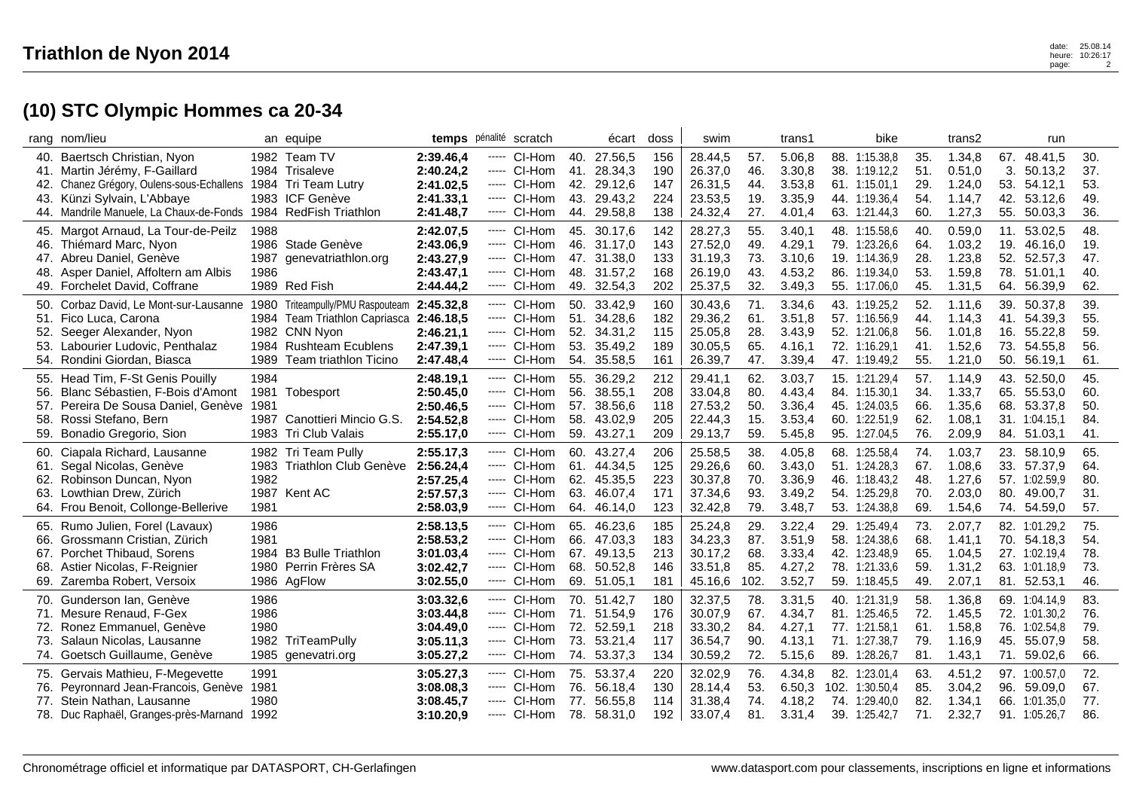## **(10) STC Olympic Hommes ca 20-34**

|                   | rang nom/lieu                                                                                                                                                                                                                   |                              | an equipe                                                                                                                                            |                                                               | temps pénalité scratch                                                                |                   | écart                                                                   | doss                            | swim                                                |                                  | trans1                                         | bike                                                                              |                                 | trans2                                         |                                 | run                                                                       |                                 |
|-------------------|---------------------------------------------------------------------------------------------------------------------------------------------------------------------------------------------------------------------------------|------------------------------|------------------------------------------------------------------------------------------------------------------------------------------------------|---------------------------------------------------------------|---------------------------------------------------------------------------------------|-------------------|-------------------------------------------------------------------------|---------------------------------|-----------------------------------------------------|----------------------------------|------------------------------------------------|-----------------------------------------------------------------------------------|---------------------------------|------------------------------------------------|---------------------------------|---------------------------------------------------------------------------|---------------------------------|
|                   | 40. Baertsch Christian, Nyon<br>41. Martin Jérémy, F-Gaillard<br>42. Chanez Grégory, Oulens-sous-Echallens 1984 Tri Team Lutry<br>43. Künzi Sylvain, L'Abbaye<br>44. Mandrile Manuele, La Chaux-de-Fonds 1984 RedFish Triathlon |                              | 1982 Team TV<br>1984 Trisaleve<br>1983 ICF Genève                                                                                                    | 2:39.46,4<br>2:40.24,2<br>2:41.02,5<br>2:41.33.1<br>2:41.48,7 | ----- CI-Hom<br>---- CI-Hom<br>---- CI-Hom<br>----- CI-Hom<br>CI-Hom<br>-----         | 41.<br>44.        | 40. 27.56,5<br>28.34.3<br>42. 29.12,6<br>43. 29.43,2<br>29.58,8         | 156<br>190<br>147<br>224<br>138 | 28.44,5<br>26.37,0<br>26.31.5<br>23.53,5<br>24.32,4 | 57.<br>46.<br>44.<br>19.<br>27.  | 5.06,8<br>3.30.8<br>3.53.8<br>3.35,9<br>4.01,4 | 88. 1:15.38,8<br>38. 1:19.12.2<br>61. 1:15.01.1<br>44. 1:19.36,4<br>63. 1:21.44,3 | 35.<br>51.<br>29.<br>54.<br>60. | 1.34,8<br>0.51,0<br>1.24,0<br>1.14,7<br>1.27,3 | 3.<br>53.<br>42.<br>55.         | 67. 48.41,5<br>50.13,2<br>54.12,1<br>53.12,6<br>50.03,3                   | 30.<br>37.<br>53.<br>49.<br>36. |
| 46.<br>48.        | 45. Margot Arnaud, La Tour-de-Peilz<br>Thiémard Marc, Nyon<br>47. Abreu Daniel, Genève<br>Asper Daniel, Affoltern am Albis<br>49. Forchelet David, Coffrane                                                                     | 1988<br>1986                 | 1986 Stade Genève<br>1987 genevatriathlon.org<br>1989 Red Fish                                                                                       | 2:42.07,5<br>2:43.06,9<br>2:43.27,9<br>2:43.47,1<br>2:44.44,2 | ---- CI-Hom<br>----- CI-Hom<br>----- CI-Hom<br>CI-Hom<br>-----<br>---- CI-Hom         |                   | 45. 30.17.6<br>46. 31.17,0<br>47. 31.38,0<br>48. 31.57,2<br>49. 32.54,3 | 142<br>143<br>133<br>168<br>202 | 28.27,3<br>27.52,0<br>31.19,3<br>26.19,0<br>25.37,5 | 55.<br>49.<br>73.<br>43.<br>32.  | 3.40.1<br>4.29,1<br>3.10,6<br>4.53,2<br>3.49,3 | 48. 1:15.58,6<br>79. 1:23.26,6<br>19. 1:14.36,9<br>86. 1:19.34,0<br>55. 1:17.06,0 | 40.<br>64.<br>28.<br>53.<br>45. | 0.59,0<br>1.03,2<br>1.23,8<br>1.59,8<br>1.31,5 | 19.<br>52.<br>78.<br>64.        | 11. 53.02,5<br>46.16,0<br>52.57,3<br>51.01,1<br>56.39,9                   | 48.<br>19.<br>47.<br>40.<br>62. |
| 52.               | 50. Corbaz David, Le Mont-sur-Lausanne<br>51. Fico Luca, Carona<br>Seeger Alexander, Nyon<br>53. Labourier Ludovic, Penthalaz<br>54. Rondini Giordan, Biasca                                                                    |                              | 1980 Triteampully/PMU Raspouteam<br>1984 Team Triathlon Capriasca 2:46.18,5<br>1982 CNN Nyon<br>1984 Rushteam Ecublens<br>1989 Team triathlon Ticino | 2:45.32,8<br>2:46.21,1<br>2:47.39,1<br>2:47.48,4              | CI-Hom<br>-----<br>----- CI-Hom<br>----- CI-Hom<br>----- CI-Hom<br>----- CI-Hom       | 51.<br>52.        | 50. 33.42.9<br>34.28,6<br>34.31,2<br>53. 35.49,2<br>54. 35.58,5         | 160<br>182<br>115<br>189<br>161 | 30.43,6<br>29.36,2<br>25.05,8<br>30.05,5<br>26.39,7 | 71.<br>61.<br>28.<br>65.<br>47.  | 3.34,6<br>3.51,8<br>3.43,9<br>4.16,1<br>3.39,4 | 43. 1:19.25,2<br>57. 1:16.56,9<br>52. 1:21.06,8<br>72. 1:16.29,1<br>47. 1:19.49,2 | 52.<br>44.<br>56.<br>41.<br>55. | 1.11,6<br>1.14,3<br>1.01,8<br>1.52,6<br>1.21,0 | 39.<br>41.<br>16.<br>73.<br>50. | 50.37,8<br>54.39,3<br>55.22,8<br>54.55,8<br>56.19,1                       | 39.<br>55.<br>59.<br>56.<br>61. |
| 57.<br>58.        | 55. Head Tim, F-St Genis Pouilly<br>56. Blanc Sébastien, F-Bois d'Amont<br>Pereira De Sousa Daniel, Genève<br>Rossi Stefano, Bern<br>59. Bonadio Gregorio, Sion                                                                 | 1984<br>1981                 | 1981 Tobesport<br>1987 Canottieri Mincio G.S.<br>1983 Tri Club Valais                                                                                | 2:48.19,1<br>2:50.45,0<br>2:50.46,5<br>2:54.52,8<br>2:55.17,0 | ----- CI-Hom<br>----- CI-Hom<br>---- CI-Hom<br>---- CI-Hom<br>----- CI-Hom            | 58.               | 55. 36.29,2<br>56. 38.55,1<br>57. 38.56,6<br>43.02,9<br>59. 43.27,1     | 212<br>208<br>118<br>205<br>209 | 29.41,1<br>33.04,8<br>27.53,2<br>22.44,3<br>29.13,7 | 62.<br>80.<br>50.<br>15.<br>59.  | 3.03,7<br>4.43,4<br>3.36,4<br>3.53,4<br>5.45,8 | 15. 1:21.29,4<br>84. 1:15.30,1<br>45. 1:24.03.5<br>60. 1:22.51,9<br>95. 1:27.04,5 | 57.<br>34.<br>66.<br>62.<br>76. | 1.14,9<br>1.33,7<br>1.35,6<br>1.08,1<br>2.09,9 | 43.<br>65.<br>68.               | 52.50,0<br>55.53,0<br>53.37,8<br>31. 1:04.15,1<br>84. 51.03,1             | 45.<br>60.<br>50.<br>84.<br>41. |
| 60.<br>63.        | Ciapala Richard, Lausanne<br>61. Segal Nicolas, Genève<br>62. Robinson Duncan, Nyon<br>Lowthian Drew, Zürich<br>64. Frou Benoit, Collonge-Bellerive                                                                             | 1982<br>1981                 | 1982 Tri Team Pully<br>1983 Triathlon Club Genève<br>1987 Kent AC                                                                                    | 2:55.17,3<br>2:56.24,4<br>2:57.25,4<br>2:57.57,3<br>2:58.03,9 | CI-Hom<br>-----<br>----- CI-Hom<br>----- CI-Hom<br>CI-Hom<br>-----<br>CI-Hom<br>----- | 60.<br>61.<br>63. | 43.27,4<br>44.34,5<br>62. 45.35,5<br>46.07.4<br>64. 46.14,0             | 206<br>125<br>223<br>171<br>123 | 25.58,5<br>29.26,6<br>30.37,8<br>37.34,6<br>32.42,8 | 38.<br>60.<br>70.<br>93.<br>79.  | 4.05.8<br>3.43,0<br>3.36,9<br>3.49.2<br>3.48,7 | 68. 1:25.58.4<br>51. 1:24.28,3<br>46. 1:18.43,2<br>54. 1:25.29.8<br>53. 1:24.38,8 | 74.<br>67.<br>48.<br>70.<br>69. | 1.03,7<br>1.08,6<br>1.27,6<br>2.03,0<br>1.54,6 | 23.<br>33.<br>80.<br>74.        | 58.10,9<br>57.37,9<br>57. 1:02.59,9<br>49.00,7<br>54.59,0                 | 65.<br>64.<br>80.<br>31.<br>57. |
| 66.<br>68.        | 65. Rumo Julien, Forel (Lavaux)<br>Grossmann Cristian, Zürich<br>67. Porchet Thibaud, Sorens<br>Astier Nicolas, F-Reignier<br>69. Zaremba Robert, Versoix                                                                       | 1986<br>1981                 | 1984 B3 Bulle Triathlon<br>1980 Perrin Frères SA<br>1986 AgFlow                                                                                      | 2:58.13,5<br>2:58.53,2<br>3:01.03,4<br>3:02.42,7<br>3:02.55,0 | ----- CI-Hom<br>----- CI-Hom<br>----- CI-Hom<br>----- CI-Hom<br>CI-Hom<br>-----       | 68.<br>69.        | 65. 46.23,6<br>66. 47.03,3<br>67. 49.13,5<br>50.52,8<br>51.05.1         | 185<br>183<br>213<br>146<br>181 | 25.24,8<br>34.23,3<br>30.17,2<br>33.51,8<br>45.16,6 | 29.<br>87.<br>68.<br>85.<br>102. | 3.22,4<br>3.51,9<br>3.33,4<br>4.27,2<br>3.52,7 | 29. 1:25.49,4<br>58. 1:24.38.6<br>42. 1:23.48,9<br>78. 1:21.33,6<br>59. 1:18.45,5 | 73.<br>68.<br>65.<br>59.<br>49. | 2.07,7<br>1.41,1<br>1.04,5<br>1.31,2<br>2.07,1 | 70.                             | 82. 1:01.29,2<br>54.18,3<br>27. 1:02.19,4<br>63. 1:01.18.9<br>81. 52.53,1 | 75.<br>54.<br>78.<br>73.<br>46. |
| 71.<br>72.<br>73. | 70. Gunderson Ian, Genève<br>Mesure Renaud, F-Gex<br>Ronez Emmanuel, Genève<br>Salaun Nicolas, Lausanne<br>74. Goetsch Guillaume, Genève                                                                                        | 1986<br>1986<br>1980         | 1982 TriTeamPully<br>1985 genevatri.org                                                                                                              | 3:03.32,6<br>3:03.44,8<br>3:04.49,0<br>3:05.11,3<br>3:05.27,2 | ----- CI-Hom<br>CI-Hom<br>-----<br>----- CI-Hom<br>----- CI-Hom<br>----- CI-Hom       | 71.<br>72.<br>73. | 70. 51.42,7<br>51.54,9<br>52.59,1<br>53.21,4<br>74. 53.37,3             | 180<br>176<br>218<br>117<br>134 | 32.37,5<br>30.07,9<br>33.30,2<br>36.54,7<br>30.59,2 | 78.<br>67.<br>84.<br>90.<br>72.  | 3.31,5<br>4.34,7<br>4.27,1<br>4.13,1<br>5.15,6 | 40. 1:21.31,9<br>81. 1:25.46,5<br>77. 1:21.58,1<br>71. 1:27.38,7<br>89. 1:28.26,7 | 58.<br>72.<br>61.<br>79.<br>81. | 1.36,8<br>1.45,5<br>1.58,8<br>1.16,9<br>1.43,1 | 45.<br>71.                      | 69. 1:04.14,9<br>72. 1:01.30,2<br>76. 1:02.54,8<br>55.07,9<br>59.02,6     | 83.<br>76.<br>79.<br>58.<br>66. |
|                   | 75. Gervais Mathieu, F-Megevette<br>76. Peyronnard Jean-Francois, Genève<br>77. Stein Nathan, Lausanne<br>78. Duc Raphaël, Granges-près-Marnand                                                                                 | 1991<br>1981<br>1980<br>1992 |                                                                                                                                                      | 3:05.27,3<br>3:08.08,3<br>3:08.45,7<br>3:10.20,9              | CI-Hom<br>-----<br>----- CI-Hom<br>----- CI-Hom<br>---- CI-Hom                        | 76.<br>77.        | 75. 53.37,4<br>56.18,4<br>56.55,8<br>78. 58.31,0                        | 220<br>130<br>114<br>192        | 32.02,9<br>28.14,4<br>31.38,4<br>33.07,4            | 76.<br>53.<br>74.<br>81.         | 4.34,8<br>6.50,3<br>4.18,2<br>3.31,4           | 82. 1:23.01,4<br>102. 1:30.50,4<br>74.<br>1:29.40,0<br>39. 1:25.42,7              | 63.<br>85.<br>82.<br>71.        | 4.51,2<br>3.04,2<br>1.34,1<br>2.32,7           | 96.<br>66.                      | 97. 1:00.57,0<br>59.09,0<br>1:01.35,0<br>91. 1:05.26,7                    | 72.<br>67.<br>77.<br>86.        |